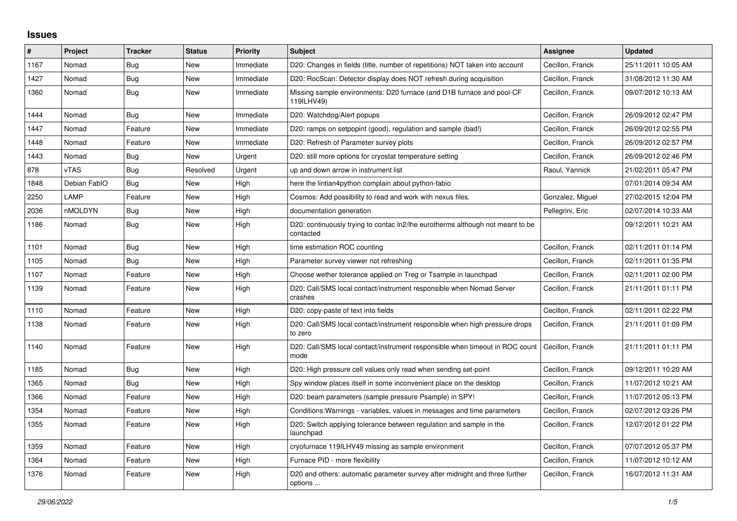## **Issues**

| #    | Project      | <b>Tracker</b> | <b>Status</b> | <b>Priority</b> | <b>Subject</b>                                                                              | Assignee         | <b>Updated</b>      |
|------|--------------|----------------|---------------|-----------------|---------------------------------------------------------------------------------------------|------------------|---------------------|
| 1167 | Nomad        | Bug            | New           | Immediate       | D20: Changes in fields (title, number of repetitions) NOT taken into account                | Cecillon, Franck | 25/11/2011 10:05 AM |
| 1427 | Nomad        | <b>Bug</b>     | New           | Immediate       | D20: RocScan: Detector display does NOT refresh during acquisition                          | Cecillon, Franck | 31/08/2012 11:30 AM |
| 1360 | Nomad        | <b>Bug</b>     | New           | Immediate       | Missing sample environments: D20 furnace (and D1B furnace and pool-CF<br>119ILHV49)         | Cecillon, Franck | 09/07/2012 10:13 AM |
| 1444 | Nomad        | Bug            | New           | Immediate       | D20: Watchdog/Alert popups                                                                  | Cecillon, Franck | 26/09/2012 02:47 PM |
| 1447 | Nomad        | Feature        | New           | Immediate       | D20: ramps on setpopint (good), regulation and sample (bad!)                                | Cecillon, Franck | 26/09/2012 02:55 PM |
| 1448 | Nomad        | Feature        | <b>New</b>    | Immediate       | D20: Refresh of Parameter survey plots                                                      | Cecillon, Franck | 26/09/2012 02:57 PM |
| 1443 | Nomad        | Bug            | New           | Urgent          | D20: still more options for cryostat temperature setting                                    | Cecillon, Franck | 26/09/2012 02:46 PM |
| 878  | vTAS         | Bug            | Resolved      | Urgent          | up and down arrow in instrument list                                                        | Raoul, Yannick   | 21/02/2011 05:47 PM |
| 1848 | Debian FablO | <b>Bug</b>     | New           | High            | here the lintian4python complain about python-fabio                                         |                  | 07/01/2014 09:34 AM |
| 2250 | LAMP         | Feature        | New           | High            | Cosmos: Add possibility to read and work with nexus files.                                  | Gonzalez, Miguel | 27/02/2015 12:04 PM |
| 2036 | nMOLDYN      | <b>Bug</b>     | New           | High            | documentation generation                                                                    | Pellegrini, Eric | 02/07/2014 10:33 AM |
| 1186 | Nomad        | <b>Bug</b>     | New           | High            | D20: continuously trying to contac In2/lhe eurotherms although not meant to be<br>contacted |                  | 09/12/2011 10:21 AM |
| 1101 | Nomad        | <b>Bug</b>     | New           | High            | time estimation ROC counting                                                                | Cecillon, Franck | 02/11/2011 01:14 PM |
| 1105 | Nomad        | Bug            | New           | High            | Parameter survey viewer not refreshing                                                      | Cecillon, Franck | 02/11/2011 01:35 PM |
| 1107 | Nomad        | Feature        | New           | High            | Choose wether tolerance applied on Treg or Tsample in launchpad                             | Cecillon, Franck | 02/11/2011 02:00 PM |
| 1139 | Nomad        | Feature        | New           | High            | D20: Call/SMS local contact/instrument responsible when Nomad Server<br>crashes             | Cecillon, Franck | 21/11/2011 01:11 PM |
| 1110 | Nomad        | Feature        | New           | High            | D20: copy-paste of text into fields                                                         | Cecillon, Franck | 02/11/2011 02:22 PM |
| 1138 | Nomad        | Feature        | New           | High            | D20: Call/SMS local contact/instrument responsible when high pressure drops<br>to zero      | Cecillon, Franck | 21/11/2011 01:09 PM |
| 1140 | Nomad        | Feature        | New           | High            | D20: Call/SMS local contact/instrument responsible when timeout in ROC count<br>mode        | Cecillon, Franck | 21/11/2011 01:11 PM |
| 1185 | Nomad        | Bug            | New           | High            | D20: High pressure cell values only read when sending set-point                             | Cecillon, Franck | 09/12/2011 10:20 AM |
| 1365 | Nomad        | Bug            | New           | High            | Spy window places itself in some inconvenient place on the desktop                          | Cecillon, Franck | 11/07/2012 10:21 AM |
| 1366 | Nomad        | Feature        | New           | High            | D20: beam parameters (sample pressure Psample) in SPY!                                      | Cecillon, Franck | 11/07/2012 05:13 PM |
| 1354 | Nomad        | Feature        | New           | High            | Conditions: Warnings - variables, values in messages and time parameters                    | Cecillon, Franck | 02/07/2012 03:26 PM |
| 1355 | Nomad        | Feature        | New           | High            | D20: Switch applying tolerance between regulation and sample in the<br>launchpad            | Cecillon, Franck | 12/07/2012 01:22 PM |
| 1359 | Nomad        | Feature        | New           | High            | cryofurnace 119ILHV49 missing as sample environment                                         | Cecillon, Franck | 07/07/2012 05:37 PM |
| 1364 | Nomad        | Feature        | New           | High            | Furnace PID - more flexibility                                                              | Cecillon, Franck | 11/07/2012 10:12 AM |
| 1376 | Nomad        | Feature        | New           | High            | D20 and others: automatic parameter survey after midnight and three further<br>options      | Cecillon, Franck | 16/07/2012 11:31 AM |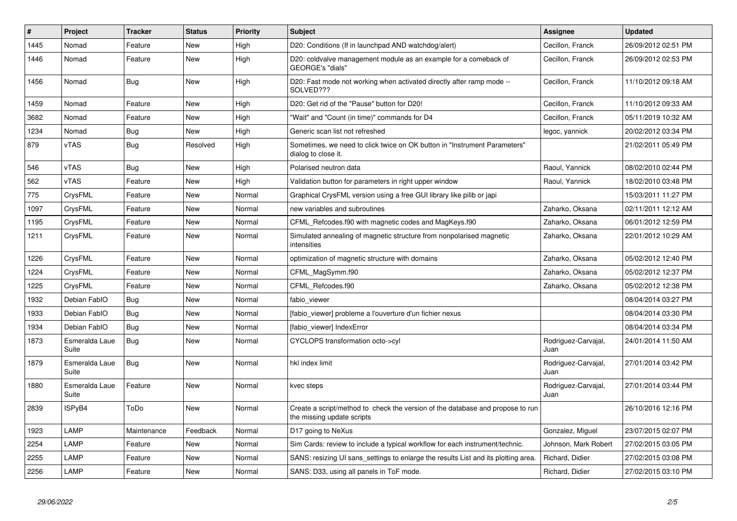| #    | <b>Project</b>          | <b>Tracker</b> | <b>Status</b> | <b>Priority</b> | <b>Subject</b>                                                                                               | <b>Assignee</b>             | <b>Updated</b>      |
|------|-------------------------|----------------|---------------|-----------------|--------------------------------------------------------------------------------------------------------------|-----------------------------|---------------------|
| 1445 | Nomad                   | Feature        | <b>New</b>    | High            | D20: Conditions (If in launchpad AND watchdog/alert)                                                         | Cecillon, Franck            | 26/09/2012 02:51 PM |
| 1446 | Nomad                   | Feature        | <b>New</b>    | High            | D20: coldvalve management module as an example for a comeback of<br>GEORGE's "dials"                         | Cecillon, Franck            | 26/09/2012 02:53 PM |
| 1456 | Nomad                   | Bug            | <b>New</b>    | High            | D20: Fast mode not working when activated directly after ramp mode --<br>SOLVED???                           | Cecillon, Franck            | 11/10/2012 09:18 AM |
| 1459 | Nomad                   | Feature        | <b>New</b>    | High            | D20: Get rid of the "Pause" button for D20!                                                                  | Cecillon, Franck            | 11/10/2012 09:33 AM |
| 3682 | Nomad                   | Feature        | New           | High            | "Wait" and "Count (in time)" commands for D4                                                                 | Cecillon, Franck            | 05/11/2019 10:32 AM |
| 1234 | Nomad                   | Bug            | New           | High            | Generic scan list not refreshed                                                                              | legoc, yannick              | 20/02/2012 03:34 PM |
| 879  | vTAS                    | Bug            | Resolved      | High            | Sometimes, we need to click twice on OK button in "Instrument Parameters"<br>dialog to close it.             |                             | 21/02/2011 05:49 PM |
| 546  | <b>vTAS</b>             | Bug            | <b>New</b>    | High            | Polarised neutron data                                                                                       | Raoul. Yannick              | 08/02/2010 02:44 PM |
| 562  | <b>vTAS</b>             | Feature        | New           | High            | Validation button for parameters in right upper window                                                       | Raoul, Yannick              | 18/02/2010 03:48 PM |
| 775  | CrysFML                 | Feature        | New           | Normal          | Graphical CrysFML version using a free GUI library like pilib or japi                                        |                             | 15/03/2011 11:27 PM |
| 1097 | CrysFML                 | Feature        | New           | Normal          | new variables and subroutines                                                                                | Zaharko, Oksana             | 02/11/2011 12:12 AM |
| 1195 | CrysFML                 | Feature        | New           | Normal          | CFML Refcodes.f90 with magnetic codes and MagKeys.f90                                                        | Zaharko, Oksana             | 06/01/2012 12:59 PM |
| 1211 | CrysFML                 | Feature        | New           | Normal          | Simulated annealing of magnetic structure from nonpolarised magnetic<br>intensities                          | Zaharko, Oksana             | 22/01/2012 10:29 AM |
| 1226 | CrysFML                 | Feature        | <b>New</b>    | Normal          | optimization of magnetic structure with domains                                                              | Zaharko, Oksana             | 05/02/2012 12:40 PM |
| 1224 | CrysFML                 | Feature        | <b>New</b>    | Normal          | CFML MagSymm.f90                                                                                             | Zaharko, Oksana             | 05/02/2012 12:37 PM |
| 1225 | CrysFML                 | Feature        | New           | Normal          | CFML Refcodes.f90                                                                                            | Zaharko, Oksana             | 05/02/2012 12:38 PM |
| 1932 | Debian FablO            | <b>Bug</b>     | <b>New</b>    | Normal          | fabio viewer                                                                                                 |                             | 08/04/2014 03:27 PM |
| 1933 | Debian FablO            | Bug            | New           | Normal          | [fabio_viewer] probleme a l'ouverture d'un fichier nexus                                                     |                             | 08/04/2014 03:30 PM |
| 1934 | Debian FablO            | Bug            | New           | Normal          | [fabio viewer] IndexError                                                                                    |                             | 08/04/2014 03:34 PM |
| 1873 | Esmeralda Laue<br>Suite | <b>Bug</b>     | <b>New</b>    | Normal          | CYCLOPS transformation octo->cyl                                                                             | Rodriguez-Carvajal,<br>Juan | 24/01/2014 11:50 AM |
| 1879 | Esmeralda Laue<br>Suite | Bug            | <b>New</b>    | Normal          | hkl index limit                                                                                              | Rodriguez-Carvajal,<br>Juan | 27/01/2014 03:42 PM |
| 1880 | Esmeralda Laue<br>Suite | Feature        | <b>New</b>    | Normal          | kvec steps                                                                                                   | Rodriguez-Carvajal,<br>Juan | 27/01/2014 03:44 PM |
| 2839 | ISPyB4                  | ToDo           | New           | Normal          | Create a script/method to check the version of the database and propose to run<br>the missing update scripts |                             | 26/10/2016 12:16 PM |
| 1923 | LAMP                    | Maintenance    | Feedback      | Normal          | D17 going to NeXus                                                                                           | Gonzalez, Miguel            | 23/07/2015 02:07 PM |
| 2254 | LAMP                    | Feature        | New           | Normal          | Sim Cards: review to include a typical workflow for each instrument/technic.                                 | Johnson, Mark Robert        | 27/02/2015 03:05 PM |
| 2255 | LAMP                    | Feature        | <b>New</b>    | Normal          | SANS: resizing UI sans settings to enlarge the results List and its plotting area                            | Richard, Didier             | 27/02/2015 03:08 PM |
| 2256 | LAMP                    | Feature        | New           | Normal          | SANS: D33, using all panels in ToF mode.                                                                     | Richard, Didier             | 27/02/2015 03:10 PM |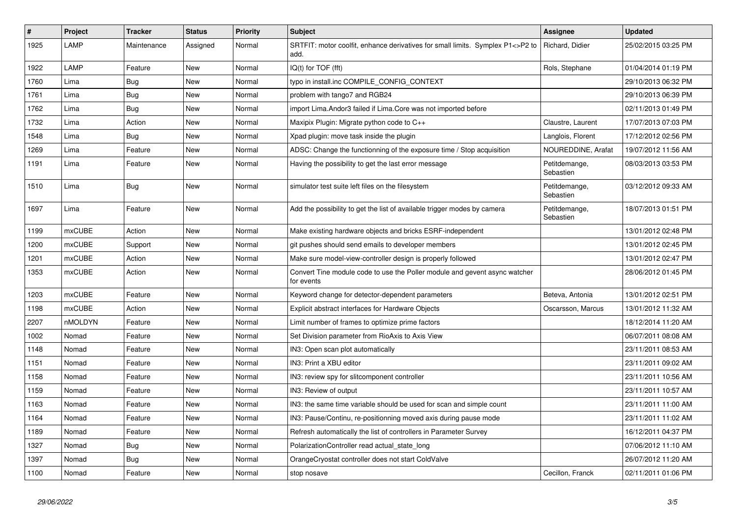| $\#$ | Project | <b>Tracker</b> | <b>Status</b> | Priority | <b>Subject</b>                                                                           | Assignee                   | <b>Updated</b>      |
|------|---------|----------------|---------------|----------|------------------------------------------------------------------------------------------|----------------------------|---------------------|
| 1925 | LAMP    | Maintenance    | Assigned      | Normal   | SRTFIT: motor coolfit, enhance derivatives for small limits. Symplex P1<>P2 to<br>add.   | Richard, Didier            | 25/02/2015 03:25 PM |
| 1922 | LAMP    | Feature        | New           | Normal   | IQ(t) for TOF (fft)                                                                      | Rols, Stephane             | 01/04/2014 01:19 PM |
| 1760 | Lima    | Bug            | New           | Normal   | typo in install.inc COMPILE_CONFIG_CONTEXT                                               |                            | 29/10/2013 06:32 PM |
| 1761 | Lima    | Bug            | <b>New</b>    | Normal   | problem with tango7 and RGB24                                                            |                            | 29/10/2013 06:39 PM |
| 1762 | Lima    | Bug            | New           | Normal   | import Lima. Andor3 failed if Lima. Core was not imported before                         |                            | 02/11/2013 01:49 PM |
| 1732 | Lima    | Action         | New           | Normal   | Maxipix Plugin: Migrate python code to C++                                               | Claustre, Laurent          | 17/07/2013 07:03 PM |
| 1548 | Lima    | <b>Bug</b>     | New           | Normal   | Xpad plugin: move task inside the plugin                                                 | Langlois, Florent          | 17/12/2012 02:56 PM |
| 1269 | Lima    | Feature        | <b>New</b>    | Normal   | ADSC: Change the functionning of the exposure time / Stop acquisition                    | NOUREDDINE, Arafat         | 19/07/2012 11:56 AM |
| 1191 | Lima    | Feature        | New           | Normal   | Having the possibility to get the last error message                                     | Petitdemange,<br>Sebastien | 08/03/2013 03:53 PM |
| 1510 | Lima    | <b>Bug</b>     | <b>New</b>    | Normal   | simulator test suite left files on the filesystem                                        | Petitdemange,<br>Sebastien | 03/12/2012 09:33 AM |
| 1697 | Lima    | Feature        | New           | Normal   | Add the possibility to get the list of available trigger modes by camera                 | Petitdemange,<br>Sebastien | 18/07/2013 01:51 PM |
| 1199 | mxCUBE  | Action         | New           | Normal   | Make existing hardware objects and bricks ESRF-independent                               |                            | 13/01/2012 02:48 PM |
| 1200 | mxCUBE  | Support        | New           | Normal   | git pushes should send emails to developer members                                       |                            | 13/01/2012 02:45 PM |
| 1201 | mxCUBE  | Action         | New           | Normal   | Make sure model-view-controller design is properly followed                              |                            | 13/01/2012 02:47 PM |
| 1353 | mxCUBE  | Action         | New           | Normal   | Convert Tine module code to use the Poller module and gevent async watcher<br>for events |                            | 28/06/2012 01:45 PM |
| 1203 | mxCUBE  | Feature        | New           | Normal   | Keyword change for detector-dependent parameters                                         | Beteva, Antonia            | 13/01/2012 02:51 PM |
| 1198 | mxCUBE  | Action         | New           | Normal   | Explicit abstract interfaces for Hardware Objects                                        | Oscarsson, Marcus          | 13/01/2012 11:32 AM |
| 2207 | nMOLDYN | Feature        | New           | Normal   | Limit number of frames to optimize prime factors                                         |                            | 18/12/2014 11:20 AM |
| 1002 | Nomad   | Feature        | New           | Normal   | Set Division parameter from RioAxis to Axis View                                         |                            | 06/07/2011 08:08 AM |
| 1148 | Nomad   | Feature        | New           | Normal   | IN3: Open scan plot automatically                                                        |                            | 23/11/2011 08:53 AM |
| 1151 | Nomad   | Feature        | <b>New</b>    | Normal   | IN3: Print a XBU editor                                                                  |                            | 23/11/2011 09:02 AM |
| 1158 | Nomad   | Feature        | New           | Normal   | IN3: review spy for slitcomponent controller                                             |                            | 23/11/2011 10:56 AM |
| 1159 | Nomad   | Feature        | New           | Normal   | IN3: Review of output                                                                    |                            | 23/11/2011 10:57 AM |
| 1163 | Nomad   | Feature        | New           | Normal   | IN3: the same time variable should be used for scan and simple count                     |                            | 23/11/2011 11:00 AM |
| 1164 | Nomad   | Feature        | New           | Normal   | IN3: Pause/Continu, re-positionning moved axis during pause mode                         |                            | 23/11/2011 11:02 AM |
| 1189 | Nomad   | Feature        | New           | Normal   | Refresh automatically the list of controllers in Parameter Survey                        |                            | 16/12/2011 04:37 PM |
| 1327 | Nomad   | Bug            | New           | Normal   | PolarizationController read actual state long                                            |                            | 07/06/2012 11:10 AM |
| 1397 | Nomad   | <b>Bug</b>     | New           | Normal   | OrangeCryostat controller does not start ColdValve                                       |                            | 26/07/2012 11:20 AM |
| 1100 | Nomad   | Feature        | <b>New</b>    | Normal   | stop nosave                                                                              | Cecillon, Franck           | 02/11/2011 01:06 PM |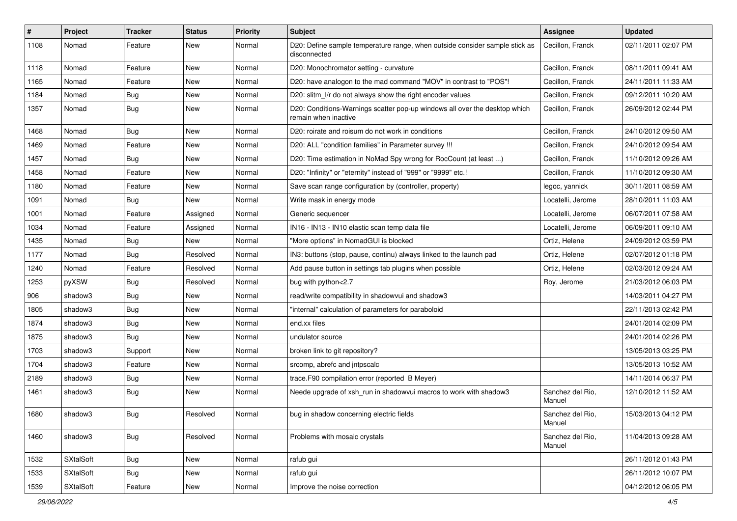| #    | Project          | <b>Tracker</b> | <b>Status</b> | <b>Priority</b> | <b>Subject</b>                                                                                     | <b>Assignee</b>            | <b>Updated</b>      |
|------|------------------|----------------|---------------|-----------------|----------------------------------------------------------------------------------------------------|----------------------------|---------------------|
| 1108 | Nomad            | Feature        | New           | Normal          | D20: Define sample temperature range, when outside consider sample stick as<br>disconnected        | Cecillon, Franck           | 02/11/2011 02:07 PM |
| 1118 | Nomad            | Feature        | New           | Normal          | D20: Monochromator setting - curvature                                                             | Cecillon, Franck           | 08/11/2011 09:41 AM |
| 1165 | Nomad            | Feature        | New           | Normal          | D20: have analogon to the mad command "MOV" in contrast to "POS"!                                  | Cecillon, Franck           | 24/11/2011 11:33 AM |
| 1184 | Nomad            | <b>Bug</b>     | New           | Normal          | D20: slitm_l/r do not always show the right encoder values                                         | Cecillon, Franck           | 09/12/2011 10:20 AM |
| 1357 | Nomad            | <b>Bug</b>     | New           | Normal          | D20: Conditions-Warnings scatter pop-up windows all over the desktop which<br>remain when inactive | Cecillon, Franck           | 26/09/2012 02:44 PM |
| 1468 | Nomad            | <b>Bug</b>     | New           | Normal          | D20: roirate and roisum do not work in conditions                                                  | Cecillon, Franck           | 24/10/2012 09:50 AM |
| 1469 | Nomad            | Feature        | New           | Normal          | D20: ALL "condition families" in Parameter survey !!!                                              | Cecillon, Franck           | 24/10/2012 09:54 AM |
| 1457 | Nomad            | <b>Bug</b>     | New           | Normal          | D20: Time estimation in NoMad Spy wrong for RocCount (at least )                                   | Cecillon, Franck           | 11/10/2012 09:26 AM |
| 1458 | Nomad            | Feature        | New           | Normal          | D20: "Infinity" or "eternity" instead of "999" or "9999" etc.!                                     | Cecillon, Franck           | 11/10/2012 09:30 AM |
| 1180 | Nomad            | Feature        | New           | Normal          | Save scan range configuration by (controller, property)                                            | legoc, yannick             | 30/11/2011 08:59 AM |
| 1091 | Nomad            | <b>Bug</b>     | New           | Normal          | Write mask in energy mode                                                                          | Locatelli, Jerome          | 28/10/2011 11:03 AM |
| 1001 | Nomad            | Feature        | Assigned      | Normal          | Generic sequencer                                                                                  | Locatelli, Jerome          | 06/07/2011 07:58 AM |
| 1034 | Nomad            | Feature        | Assigned      | Normal          | IN16 - IN13 - IN10 elastic scan temp data file                                                     | Locatelli, Jerome          | 06/09/2011 09:10 AM |
| 1435 | Nomad            | Bug            | New           | Normal          | "More options" in NomadGUI is blocked                                                              | Ortiz, Helene              | 24/09/2012 03:59 PM |
| 1177 | Nomad            | <b>Bug</b>     | Resolved      | Normal          | IN3: buttons (stop, pause, continu) always linked to the launch pad                                | Ortiz, Helene              | 02/07/2012 01:18 PM |
| 1240 | Nomad            | Feature        | Resolved      | Normal          | Add pause button in settings tab plugins when possible                                             | Ortiz, Helene              | 02/03/2012 09:24 AM |
| 1253 | pyXSW            | Bug            | Resolved      | Normal          | bug with python<2.7                                                                                | Roy, Jerome                | 21/03/2012 06:03 PM |
| 906  | shadow3          | <b>Bug</b>     | New           | Normal          | read/write compatibility in shadowvui and shadow3                                                  |                            | 14/03/2011 04:27 PM |
| 1805 | shadow3          | Bug            | New           | Normal          | "internal" calculation of parameters for paraboloid                                                |                            | 22/11/2013 02:42 PM |
| 1874 | shadow3          | Bug            | New           | Normal          | end.xx files                                                                                       |                            | 24/01/2014 02:09 PM |
| 1875 | shadow3          | Bug            | New           | Normal          | undulator source                                                                                   |                            | 24/01/2014 02:26 PM |
| 1703 | shadow3          | Support        | New           | Normal          | broken link to git repository?                                                                     |                            | 13/05/2013 03:25 PM |
| 1704 | shadow3          | Feature        | New           | Normal          | srcomp, abrefc and intpscalc                                                                       |                            | 13/05/2013 10:52 AM |
| 2189 | shadow3          | Bug            | New           | Normal          | trace.F90 compilation error (reported B Meyer)                                                     |                            | 14/11/2014 06:37 PM |
| 1461 | shadow3          | <b>Bug</b>     | New           | Normal          | Neede upgrade of xsh run in shadowvui macros to work with shadow3                                  | Sanchez del Rio,<br>Manuel | 12/10/2012 11:52 AM |
| 1680 | shadow3          | Bug            | Resolved      | Normal          | bug in shadow concerning electric fields                                                           | Sanchez del Rio.<br>Manuel | 15/03/2013 04:12 PM |
| 1460 | shadow3          | <b>Bug</b>     | Resolved      | Normal          | Problems with mosaic crystals                                                                      | Sanchez del Rio,<br>Manuel | 11/04/2013 09:28 AM |
| 1532 | SXtalSoft        | Bug            | New           | Normal          | rafub gui                                                                                          |                            | 26/11/2012 01:43 PM |
| 1533 | SXtalSoft        | <b>Bug</b>     | New           | Normal          | rafub gui                                                                                          |                            | 26/11/2012 10:07 PM |
| 1539 | <b>SXtalSoft</b> | Feature        | New           | Normal          | Improve the noise correction                                                                       |                            | 04/12/2012 06:05 PM |